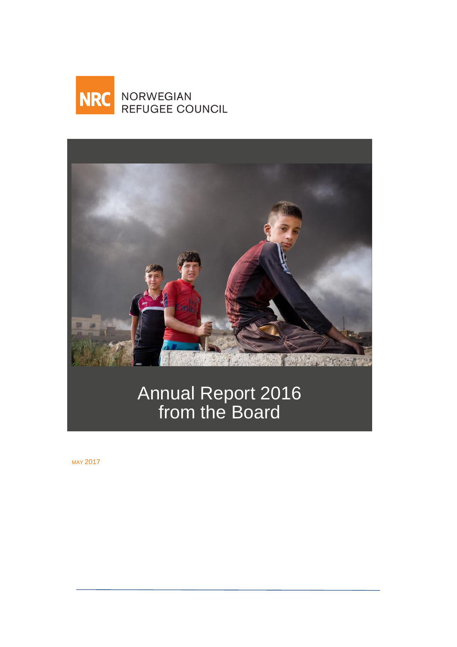



# Annual Report 2016 from the Board

MAY 2017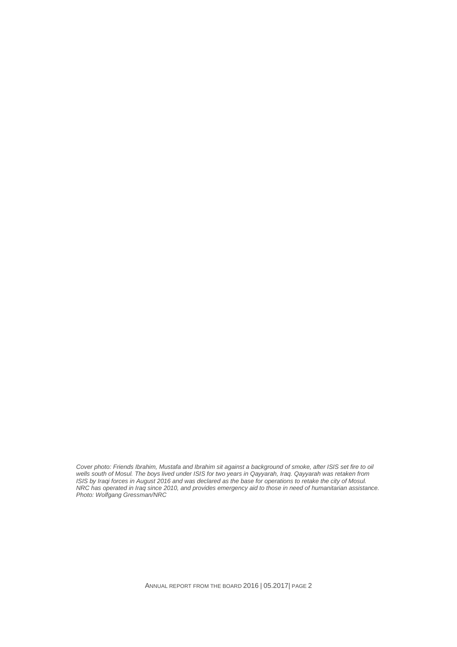Cover photo: Friends Ibrahim, Mustafa and Ibrahim sit against a background of smoke, after ISIS set fire to oil *wells south of Mosul. The boys lived under ISIS for two years in Qayyarah, Iraq. Qayyarah was retaken from ISIS by Iraqi forces in August 2016 and was declared as the base for operations to retake the city of Mosul. NRC has operated in Iraq since 2010, and provides emergency aid to those in need of humanitarian assistance. Photo: Wolfgang Gressman/NRC*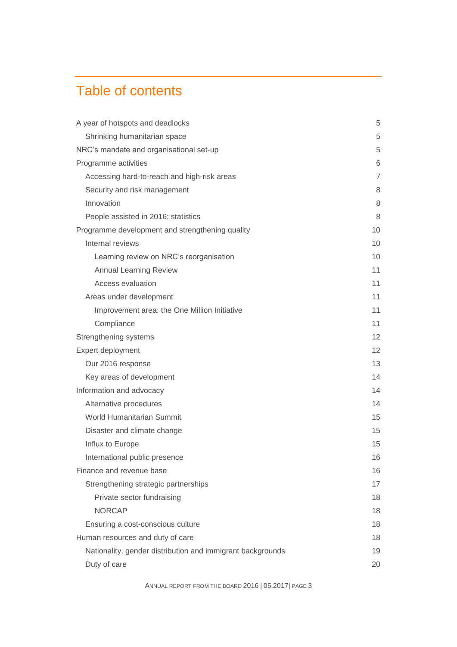# Table of contents

| A year of hotspots and deadlocks                           | 5  |
|------------------------------------------------------------|----|
| Shrinking humanitarian space                               | 5  |
| NRC's mandate and organisational set-up                    | 5  |
| Programme activities                                       | 6  |
| Accessing hard-to-reach and high-risk areas                | 7  |
| Security and risk management                               | 8  |
| Innovation                                                 | 8  |
| People assisted in 2016: statistics                        | 8  |
| Programme development and strengthening quality            | 10 |
| Internal reviews                                           | 10 |
| Learning review on NRC's reorganisation                    | 10 |
| <b>Annual Learning Review</b>                              | 11 |
| Access evaluation                                          | 11 |
| Areas under development                                    | 11 |
| Improvement area: the One Million Initiative               | 11 |
| Compliance                                                 | 11 |
| Strengthening systems                                      | 12 |
| Expert deployment                                          | 12 |
| Our 2016 response                                          | 13 |
| Key areas of development                                   | 14 |
| Information and advocacy                                   | 14 |
| Alternative procedures                                     | 14 |
| World Humanitarian Summit                                  | 15 |
| Disaster and climate change                                | 15 |
| Influx to Europe                                           | 15 |
| International public presence                              | 16 |
| Finance and revenue base                                   | 16 |
| Strengthening strategic partnerships                       | 17 |
| Private sector fundraising                                 | 18 |
| <b>NORCAP</b>                                              | 18 |
| Ensuring a cost-conscious culture                          | 18 |
| Human resources and duty of care                           | 18 |
| Nationality, gender distribution and immigrant backgrounds | 19 |
| Duty of care                                               | 20 |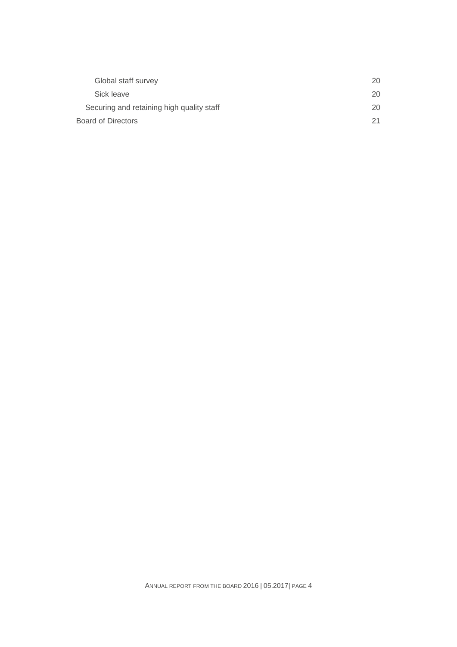| Global staff survey                       | 20 |
|-------------------------------------------|----|
| Sick leave                                | 20 |
| Securing and retaining high quality staff | 20 |
| <b>Board of Directors</b>                 | 21 |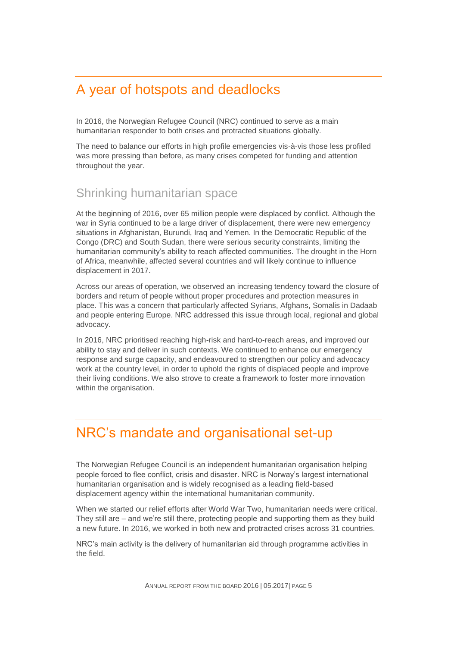# A year of hotspots and deadlocks

In 2016, the Norwegian Refugee Council (NRC) continued to serve as a main humanitarian responder to both crises and protracted situations globally.

The need to balance our efforts in high profile emergencies vis-à-vis those less profiled was more pressing than before, as many crises competed for funding and attention throughout the year.

#### Shrinking humanitarian space

At the beginning of 2016, over 65 million people were displaced by conflict. Although the war in Syria continued to be a large driver of displacement, there were new emergency situations in Afghanistan, Burundi, Iraq and Yemen. In the Democratic Republic of the Congo (DRC) and South Sudan, there were serious security constraints, limiting the humanitarian community's ability to reach affected communities. The drought in the Horn of Africa, meanwhile, affected several countries and will likely continue to influence displacement in 2017.

Across our areas of operation, we observed an increasing tendency toward the closure of borders and return of people without proper procedures and protection measures in place. This was a concern that particularly affected Syrians, Afghans, Somalis in Dadaab and people entering Europe. NRC addressed this issue through local, regional and global advocacy.

In 2016, NRC prioritised reaching high-risk and hard-to-reach areas, and improved our ability to stay and deliver in such contexts. We continued to enhance our emergency response and surge capacity, and endeavoured to strengthen our policy and advocacy work at the country level, in order to uphold the rights of displaced people and improve their living conditions. We also strove to create a framework to foster more innovation within the organisation.

# NRC's mandate and organisational set-up

The Norwegian Refugee Council is an independent humanitarian organisation helping people forced to flee conflict, crisis and disaster. NRC is Norway's largest international humanitarian organisation and is widely recognised as a leading field-based displacement agency within the international humanitarian community.

When we started our relief efforts after World War Two, humanitarian needs were critical. They still are – and we're still there, protecting people and supporting them as they build a new future. In 2016, we worked in both new and protracted crises across 31 countries.

NRC's main activity is the delivery of humanitarian aid through programme activities in the field.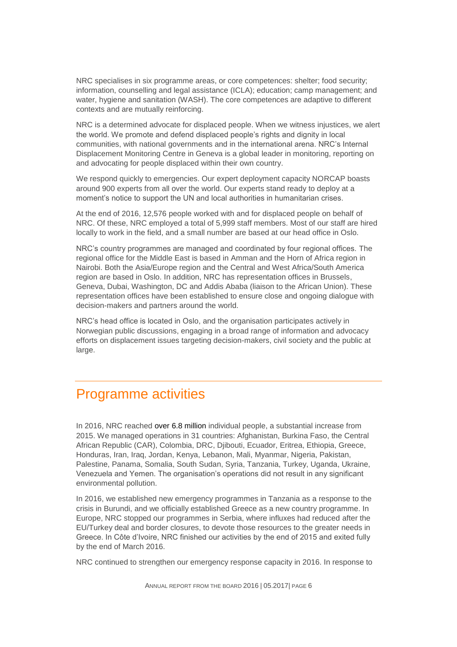NRC specialises in six programme areas, or core competences: shelter; food security; information, counselling and legal assistance (ICLA); education; camp management; and water, hygiene and sanitation (WASH). The core competences are adaptive to different contexts and are mutually reinforcing.

NRC is a determined advocate for displaced people. When we witness injustices, we alert the world. We promote and defend displaced people's rights and dignity in local communities, with national governments and in the international arena. NRC's Internal Displacement Monitoring Centre in Geneva is a global leader in monitoring, reporting on and advocating for people displaced within their own country.

We respond quickly to emergencies. Our expert deployment capacity NORCAP boasts around 900 experts from all over the world. Our experts stand ready to deploy at a moment's notice to support the UN and local authorities in humanitarian crises.

At the end of 2016, 12,576 people worked with and for displaced people on behalf of NRC. Of these, NRC employed a total of 5,999 staff members. Most of our staff are hired locally to work in the field, and a small number are based at our head office in Oslo.

NRC's country programmes are managed and coordinated by four regional offices. The regional office for the Middle East is based in Amman and the Horn of Africa region in Nairobi. Both the Asia/Europe region and the Central and West Africa/South America region are based in Oslo. In addition, NRC has representation offices in Brussels, Geneva, Dubai, Washington, DC and Addis Ababa (liaison to the African Union). These representation offices have been established to ensure close and ongoing dialogue with decision-makers and partners around the world.

NRC's head office is located in Oslo, and the organisation participates actively in Norwegian public discussions, engaging in a broad range of information and advocacy efforts on displacement issues targeting decision-makers, civil society and the public at large.

# Programme activities

In 2016, NRC reached over 6.8 million individual people, a substantial increase from 2015. We managed operations in 31 countries: Afghanistan, Burkina Faso, the Central African Republic (CAR), Colombia, DRC, Djibouti, Ecuador, Eritrea, Ethiopia, Greece, Honduras, Iran, Iraq, Jordan, Kenya, Lebanon, Mali, Myanmar, Nigeria, Pakistan, Palestine, Panama, Somalia, South Sudan, Syria, Tanzania, Turkey, Uganda, Ukraine, Venezuela and Yemen. The organisation's operations did not result in any significant environmental pollution.

In 2016, we established new emergency programmes in Tanzania as a response to the crisis in Burundi, and we officially established Greece as a new country programme. In Europe, NRC stopped our programmes in Serbia, where influxes had reduced after the EU/Turkey deal and border closures, to devote those resources to the greater needs in Greece. In Côte d'Ivoire, NRC finished our activities by the end of 2015 and exited fully by the end of March 2016.

NRC continued to strengthen our emergency response capacity in 2016. In response to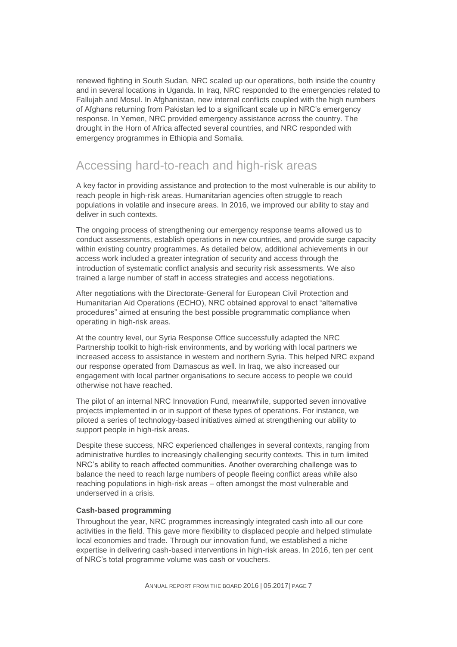renewed fighting in South Sudan, NRC scaled up our operations, both inside the country and in several locations in Uganda. In Iraq, NRC responded to the emergencies related to Fallujah and Mosul. In Afghanistan, new internal conflicts coupled with the high numbers of Afghans returning from Pakistan led to a significant scale up in NRC's emergency response. In Yemen, NRC provided emergency assistance across the country. The drought in the Horn of Africa affected several countries, and NRC responded with emergency programmes in Ethiopia and Somalia.

### Accessing hard-to-reach and high-risk areas

A key factor in providing assistance and protection to the most vulnerable is our ability to reach people in high-risk areas. Humanitarian agencies often struggle to reach populations in volatile and insecure areas. In 2016, we improved our ability to stay and deliver in such contexts.

The ongoing process of strengthening our emergency response teams allowed us to conduct assessments, establish operations in new countries, and provide surge capacity within existing country programmes. As detailed below, additional achievements in our access work included a greater integration of security and access through the introduction of systematic conflict analysis and security risk assessments. We also trained a large number of staff in access strategies and access negotiations.

After negotiations with the Directorate-General for European Civil Protection and Humanitarian Aid Operations (ECHO), NRC obtained approval to enact "alternative procedures" aimed at ensuring the best possible programmatic compliance when operating in high-risk areas.

At the country level, our Syria Response Office successfully adapted the NRC Partnership toolkit to high-risk environments, and by working with local partners we increased access to assistance in western and northern Syria. This helped NRC expand our response operated from Damascus as well. In Iraq, we also increased our engagement with local partner organisations to secure access to people we could otherwise not have reached.

The pilot of an internal NRC Innovation Fund, meanwhile, supported seven innovative projects implemented in or in support of these types of operations. For instance, we piloted a series of technology-based initiatives aimed at strengthening our ability to support people in high-risk areas.

Despite these success, NRC experienced challenges in several contexts, ranging from administrative hurdles to increasingly challenging security contexts. This in turn limited NRC's ability to reach affected communities. Another overarching challenge was to balance the need to reach large numbers of people fleeing conflict areas while also reaching populations in high-risk areas – often amongst the most vulnerable and underserved in a crisis.

#### **Cash-based programming**

Throughout the year, NRC programmes increasingly integrated cash into all our core activities in the field. This gave more flexibility to displaced people and helped stimulate local economies and trade. Through our innovation fund, we established a niche expertise in delivering cash-based interventions in high-risk areas. In 2016, ten per cent of NRC's total programme volume was cash or vouchers.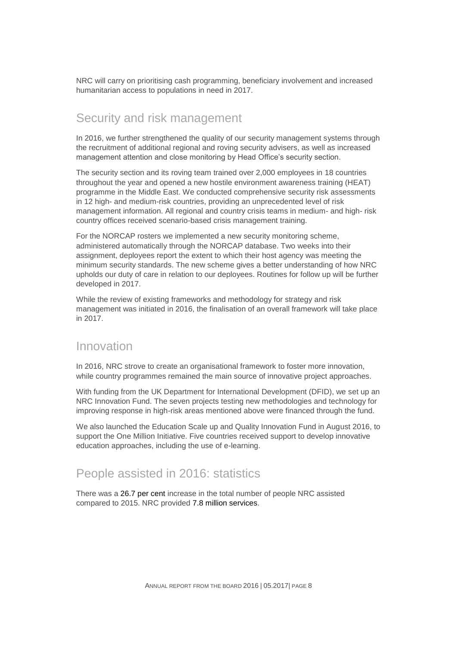NRC will carry on prioritising cash programming, beneficiary involvement and increased humanitarian access to populations in need in 2017.

### Security and risk management

In 2016, we further strengthened the quality of our security management systems through the recruitment of additional regional and roving security advisers, as well as increased management attention and close monitoring by Head Office's security section.

The security section and its roving team trained over 2,000 employees in 18 countries throughout the year and opened a new hostile environment awareness training (HEAT) programme in the Middle East. We conducted comprehensive security risk assessments in 12 high- and medium-risk countries, providing an unprecedented level of risk management information. All regional and country crisis teams in medium- and high- risk country offices received scenario-based crisis management training.

For the NORCAP rosters we implemented a new security monitoring scheme, administered automatically through the NORCAP database. Two weeks into their assignment, deployees report the extent to which their host agency was meeting the minimum security standards. The new scheme gives a better understanding of how NRC upholds our duty of care in relation to our deployees. Routines for follow up will be further developed in 2017.

While the review of existing frameworks and methodology for strategy and risk management was initiated in 2016, the finalisation of an overall framework will take place in 2017.

#### Innovation

In 2016, NRC strove to create an organisational framework to foster more innovation, while country programmes remained the main source of innovative project approaches.

With funding from the UK Department for International Development (DFID), we set up an NRC Innovation Fund. The seven projects testing new methodologies and technology for improving response in high-risk areas mentioned above were financed through the fund.

We also launched the Education Scale up and Quality Innovation Fund in August 2016, to support the One Million Initiative. Five countries received support to develop innovative education approaches, including the use of e-learning.

### People assisted in 2016: statistics

There was a 26.7 per cent increase in the total number of people NRC assisted compared to 2015. NRC provided 7.8 million services.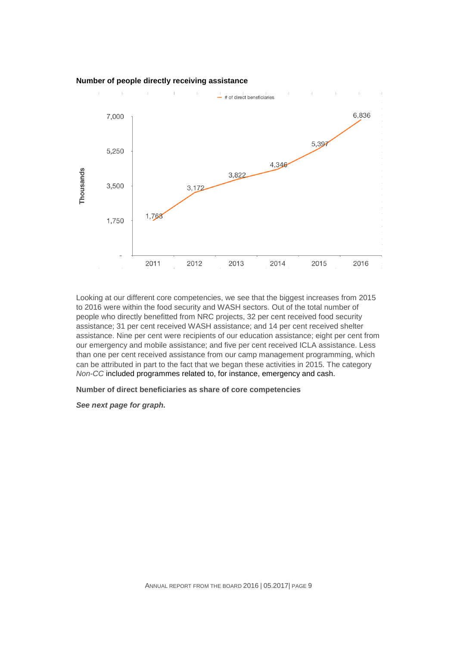

Looking at our different core competencies, we see that the biggest increases from 2015 to 2016 were within the food security and WASH sectors. Out of the total number of people who directly benefitted from NRC projects, 32 per cent received food security assistance; 31 per cent received WASH assistance; and 14 per cent received shelter assistance. Nine per cent were recipients of our education assistance; eight per cent from our emergency and mobile assistance; and five per cent received ICLA assistance. Less than one per cent received assistance from our camp management programming, which can be attributed in part to the fact that we began these activities in 2015. The category *Non-CC* included programmes related to, for instance, emergency and cash.

#### **Number of direct beneficiaries as share of core competencies**

*See next page for graph.*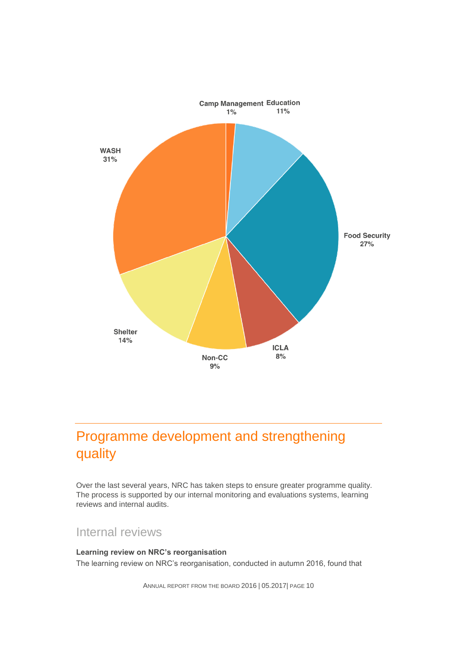

# Programme development and strengthening quality

Over the last several years, NRC has taken steps to ensure greater programme quality. The process is supported by our internal monitoring and evaluations systems, learning reviews and internal audits.

### Internal reviews

**Learning review on NRC's reorganisation** The learning review on NRC's reorganisation, conducted in autumn 2016, found that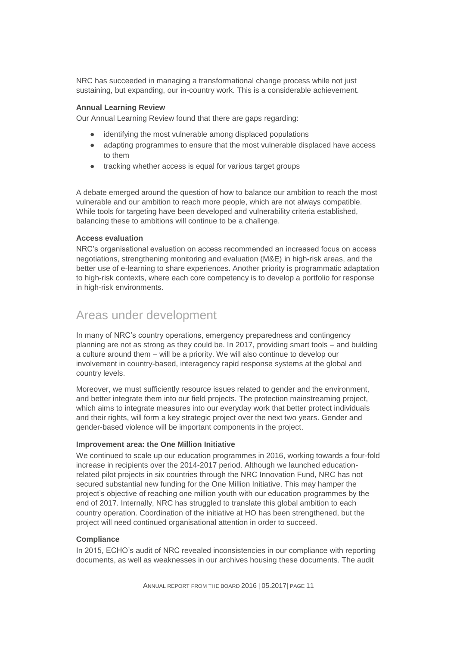NRC has succeeded in managing a transformational change process while not just sustaining, but expanding, our in-country work. This is a considerable achievement.

#### **Annual Learning Review**

Our Annual Learning Review found that there are gaps regarding:

- identifying the most vulnerable among displaced populations
- adapting programmes to ensure that the most vulnerable displaced have access to them
- tracking whether access is equal for various target groups

A debate emerged around the question of how to balance our ambition to reach the most vulnerable and our ambition to reach more people, which are not always compatible. While tools for targeting have been developed and vulnerability criteria established, balancing these to ambitions will continue to be a challenge.

#### **Access evaluation**

NRC's organisational evaluation on access recommended an increased focus on access negotiations, strengthening monitoring and evaluation (M&E) in high-risk areas, and the better use of e-learning to share experiences. Another priority is programmatic adaptation to high-risk contexts, where each core competency is to develop a portfolio for response in high-risk environments.

#### Areas under development

In many of NRC's country operations, emergency preparedness and contingency planning are not as strong as they could be. In 2017, providing smart tools – and building a culture around them – will be a priority. We will also continue to develop our involvement in country-based, interagency rapid response systems at the global and country levels.

Moreover, we must sufficiently resource issues related to gender and the environment, and better integrate them into our field projects. The protection mainstreaming project, which aims to integrate measures into our everyday work that better protect individuals and their rights, will form a key strategic project over the next two years. Gender and gender-based violence will be important components in the project.

#### **Improvement area: the One Million Initiative**

We continued to scale up our education programmes in 2016, working towards a four-fold increase in recipients over the 2014-2017 period. Although we launched educationrelated pilot projects in six countries through the NRC Innovation Fund, NRC has not secured substantial new funding for the One Million Initiative. This may hamper the project's objective of reaching one million youth with our education programmes by the end of 2017. Internally, NRC has struggled to translate this global ambition to each country operation. Coordination of the initiative at HO has been strengthened, but the project will need continued organisational attention in order to succeed.

#### **Compliance**

In 2015, ECHO's audit of NRC revealed inconsistencies in our compliance with reporting documents, as well as weaknesses in our archives housing these documents. The audit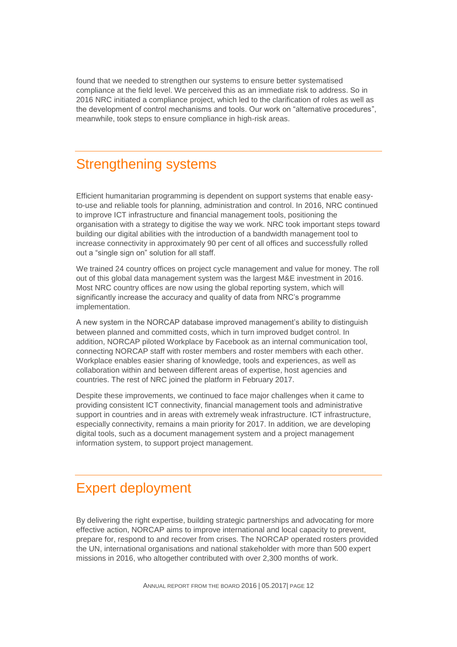found that we needed to strengthen our systems to ensure better systematised compliance at the field level. We perceived this as an immediate risk to address. So in 2016 NRC initiated a compliance project, which led to the clarification of roles as well as the development of control mechanisms and tools. Our work on "alternative procedures", meanwhile, took steps to ensure compliance in high-risk areas.

# Strengthening systems

Efficient humanitarian programming is dependent on support systems that enable easyto-use and reliable tools for planning, administration and control. In 2016, NRC continued to improve ICT infrastructure and financial management tools, positioning the organisation with a strategy to digitise the way we work. NRC took important steps toward building our digital abilities with the introduction of a bandwidth management tool to increase connectivity in approximately 90 per cent of all offices and successfully rolled out a "single sign on" solution for all staff.

We trained 24 country offices on project cycle management and value for money. The roll out of this global data management system was the largest M&E investment in 2016. Most NRC country offices are now using the global reporting system, which will significantly increase the accuracy and quality of data from NRC's programme implementation.

A new system in the NORCAP database improved management's ability to distinguish between planned and committed costs, which in turn improved budget control. In addition, NORCAP piloted Workplace by Facebook as an internal communication tool, connecting NORCAP staff with roster members and roster members with each other. Workplace enables easier sharing of knowledge, tools and experiences, as well as collaboration within and between different areas of expertise, host agencies and countries. The rest of NRC joined the platform in February 2017.

Despite these improvements, we continued to face major challenges when it came to providing consistent ICT connectivity, financial management tools and administrative support in countries and in areas with extremely weak infrastructure. ICT infrastructure, especially connectivity, remains a main priority for 2017. In addition, we are developing digital tools, such as a document management system and a project management information system, to support project management.

# Expert deployment

By delivering the right expertise, building strategic partnerships and advocating for more effective action, NORCAP aims to improve international and local capacity to prevent, prepare for, respond to and recover from crises. The NORCAP operated rosters provided the UN, international organisations and national stakeholder with more than 500 expert missions in 2016, who altogether contributed with over 2,300 months of work.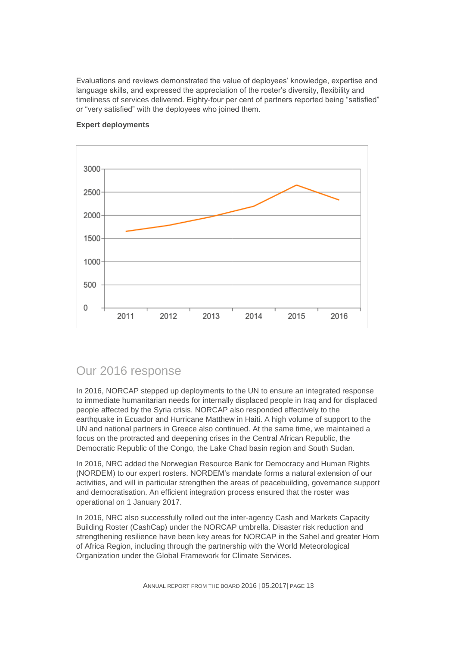Evaluations and reviews demonstrated the value of deployees' knowledge, expertise and language skills, and expressed the appreciation of the roster's diversity, flexibility and timeliness of services delivered. Eighty-four per cent of partners reported being "satisfied" or "very satisfied" with the deployees who joined them.



#### **Expert deployments**

#### Our 2016 response

In 2016, NORCAP stepped up deployments to the UN to ensure an integrated response to immediate humanitarian needs for internally displaced people in Iraq and for displaced people affected by the Syria crisis. NORCAP also responded effectively to the earthquake in Ecuador and Hurricane Matthew in Haiti. A high volume of support to the UN and national partners in Greece also continued. At the same time, we maintained a focus on the protracted and deepening crises in the Central African Republic, the Democratic Republic of the Congo, the Lake Chad basin region and South Sudan.

In 2016, NRC added the Norwegian Resource Bank for Democracy and Human Rights (NORDEM) to our expert rosters. NORDEM's mandate forms a natural extension of our activities, and will in particular strengthen the areas of peacebuilding, governance support and democratisation. An efficient integration process ensured that the roster was operational on 1 January 2017.

In 2016, NRC also successfully rolled out the inter-agency Cash and Markets Capacity Building Roster (CashCap) under the NORCAP umbrella. Disaster risk reduction and strengthening resilience have been key areas for NORCAP in the Sahel and greater Horn of Africa Region, including through the partnership with the World Meteorological Organization under the Global Framework for Climate Services.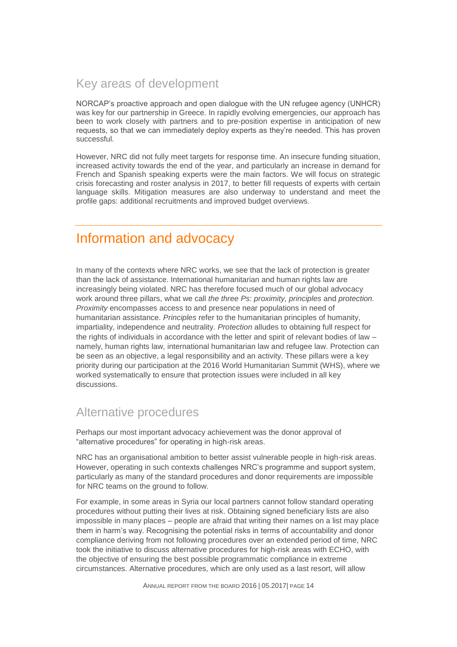### Key areas of development

NORCAP's proactive approach and open dialogue with the UN refugee agency (UNHCR) was key for our partnership in Greece. In rapidly evolving emergencies, our approach has been to work closely with partners and to pre-position expertise in anticipation of new requests, so that we can immediately deploy experts as they're needed. This has proven successful.

However, NRC did not fully meet targets for response time. An insecure funding situation, increased activity towards the end of the year, and particularly an increase in demand for French and Spanish speaking experts were the main factors. We will focus on strategic crisis forecasting and roster analysis in 2017, to better fill requests of experts with certain language skills. Mitigation measures are also underway to understand and meet the profile gaps: additional recruitments and improved budget overviews.

# Information and advocacy

In many of the contexts where NRC works, we see that the lack of protection is greater than the lack of assistance. International humanitarian and human rights law are increasingly being violated. NRC has therefore focused much of our global advocacy work around three pillars, what we call *the three Ps*: *proximity, principles* and *protection. Proximity* encompasses access to and presence near populations in need of humanitarian assistance. *Principles* refer to the humanitarian principles of humanity, impartiality, independence and neutrality. *Protection* alludes to obtaining full respect for the rights of individuals in accordance with the letter and spirit of relevant bodies of law – namely, human rights law, international humanitarian law and refugee law. Protection can be seen as an objective, a legal responsibility and an activity. These pillars were a key priority during our participation at the 2016 World Humanitarian Summit (WHS), where we worked systematically to ensure that protection issues were included in all key discussions.

### Alternative procedures

Perhaps our most important advocacy achievement was the donor approval of "alternative procedures" for operating in high-risk areas.

NRC has an organisational ambition to better assist vulnerable people in high-risk areas. However, operating in such contexts challenges NRC's programme and support system, particularly as many of the standard procedures and donor requirements are impossible for NRC teams on the ground to follow.

For example, in some areas in Syria our local partners cannot follow standard operating procedures without putting their lives at risk. Obtaining signed beneficiary lists are also impossible in many places – people are afraid that writing their names on a list may place them in harm's way. Recognising the potential risks in terms of accountability and donor compliance deriving from not following procedures over an extended period of time, NRC took the initiative to discuss alternative procedures for high-risk areas with ECHO, with the objective of ensuring the best possible programmatic compliance in extreme circumstances. Alternative procedures, which are only used as a last resort, will allow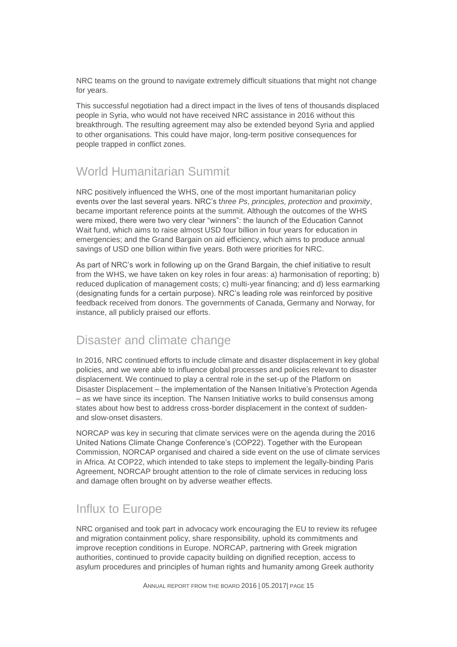NRC teams on the ground to navigate extremely difficult situations that might not change for years.

This successful negotiation had a direct impact in the lives of tens of thousands displaced people in Syria, who would not have received NRC assistance in 2016 without this breakthrough. The resulting agreement may also be extended beyond Syria and applied to other organisations. This could have major, long-term positive consequences for people trapped in conflict zones.

### World Humanitarian Summit

NRC positively influenced the WHS, one of the most important humanitarian policy events over the last several years. NRC's t*hree Ps*, *principles, protection* and p*roximity*, became important reference points at the summit. Although the outcomes of the WHS were mixed, there were two very clear "winners": the launch of the Education Cannot Wait fund, which aims to raise almost USD four billion in four years for education in emergencies; and the Grand Bargain on aid efficiency, which aims to produce annual savings of USD one billion within five years. Both were priorities for NRC.

As part of NRC's work in following up on the Grand Bargain, the chief initiative to result from the WHS, we have taken on key roles in four areas: a) harmonisation of reporting; b) reduced duplication of management costs; c) multi-year financing; and d) less earmarking (designating funds for a certain purpose). NRC's leading role was reinforced by positive feedback received from donors. The governments of Canada, Germany and Norway, for instance, all publicly praised our efforts.

#### Disaster and climate change

In 2016, NRC continued efforts to include climate and disaster displacement in key global policies, and we were able to influence global processes and policies relevant to disaster displacement. We continued to play a central role in the set-up of the Platform on Disaster Displacement – the implementation of the Nansen Initiative's Protection Agenda – as we have since its inception. The Nansen Initiative works to build consensus among states about how best to address cross-border displacement in the context of suddenand slow-onset disasters.

NORCAP was key in securing that climate services were on the agenda during the 2016 United Nations Climate Change Conference's (COP22). Together with the European Commission, NORCAP organised and chaired a side event on the use of climate services in Africa. At COP22, which intended to take steps to implement the legally-binding Paris Agreement, NORCAP brought attention to the role of climate services in reducing loss and damage often brought on by adverse weather effects.

### Influx to Europe

NRC organised and took part in advocacy work encouraging the EU to review its refugee and migration containment policy, share responsibility, uphold its commitments and improve reception conditions in Europe. NORCAP, partnering with Greek migration authorities, continued to provide capacity building on dignified reception, access to asylum procedures and principles of human rights and humanity among Greek authority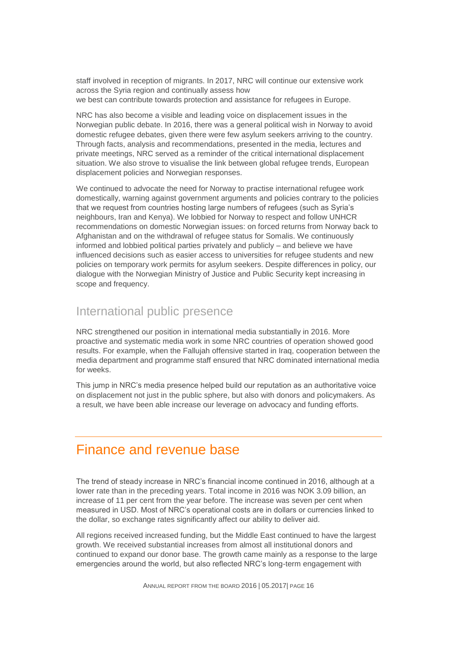staff involved in reception of migrants. In 2017, NRC will continue our extensive work across the Syria region and continually assess how we best can contribute towards protection and assistance for refugees in Europe.

NRC has also become a visible and leading voice on displacement issues in the Norwegian public debate. In 2016, there was a general political wish in Norway to avoid domestic refugee debates, given there were few asylum seekers arriving to the country. Through facts, analysis and recommendations, presented in the media, lectures and private meetings, NRC served as a reminder of the critical international displacement situation. We also strove to visualise the link between global refugee trends, European displacement policies and Norwegian responses.

We continued to advocate the need for Norway to practise international refugee work domestically, warning against government arguments and policies contrary to the policies that we request from countries hosting large numbers of refugees (such as Syria's neighbours, Iran and Kenya). We lobbied for Norway to respect and follow UNHCR recommendations on domestic Norwegian issues: on forced returns from Norway back to Afghanistan and on the withdrawal of refugee status for Somalis. We continuously informed and lobbied political parties privately and publicly – and believe we have influenced decisions such as easier access to universities for refugee students and new policies on temporary work permits for asylum seekers. Despite differences in policy, our dialogue with the Norwegian Ministry of Justice and Public Security kept increasing in scope and frequency.

#### International public presence

NRC strengthened our position in international media substantially in 2016. More proactive and systematic media work in some NRC countries of operation showed good results. For example, when the Fallujah offensive started in Iraq, cooperation between the media department and programme staff ensured that NRC dominated international media for weeks.

This jump in NRC's media presence helped build our reputation as an authoritative voice on displacement not just in the public sphere, but also with donors and policymakers. As a result, we have been able increase our leverage on advocacy and funding efforts.

### Finance and revenue base

The trend of steady increase in NRC's financial income continued in 2016, although at a lower rate than in the preceding years. Total income in 2016 was NOK 3.09 billion, an increase of 11 per cent from the year before. The increase was seven per cent when measured in USD. Most of NRC's operational costs are in dollars or currencies linked to the dollar, so exchange rates significantly affect our ability to deliver aid.

All regions received increased funding, but the Middle East continued to have the largest growth. We received substantial increases from almost all institutional donors and continued to expand our donor base. The growth came mainly as a response to the large emergencies around the world, but also reflected NRC's long-term engagement with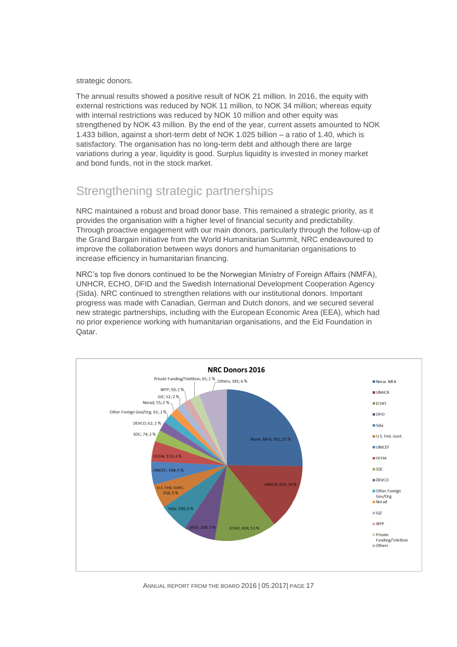strategic donors.

The annual results showed a positive result of NOK 21 million. In 2016, the equity with external restrictions was reduced by NOK 11 million, to NOK 34 million; whereas equity with internal restrictions was reduced by NOK 10 million and other equity was strengthened by NOK 43 million. By the end of the year, current assets amounted to NOK 1.433 billion, against a short-term debt of NOK 1.025 billion – a ratio of 1.40, which is satisfactory. The organisation has no long-term debt and although there are large variations during a year, liquidity is good. Surplus liquidity is invested in money market and bond funds, not in the stock market.

# Strengthening strategic partnerships

NRC maintained a robust and broad donor base. This remained a strategic priority, as it provides the organisation with a higher level of financial security and predictability. Through proactive engagement with our main donors, particularly through the follow-up of the Grand Bargain initiative from the World Humanitarian Summit, NRC endeavoured to improve the collaboration between ways donors and humanitarian organisations to increase efficiency in humanitarian financing.

NRC's top five donors continued to be the Norwegian Ministry of Foreign Affairs (NMFA), UNHCR, ECHO, DFID and the Swedish International Development Cooperation Agency (Sida). NRC continued to strengthen relations with our institutional donors. Important progress was made with Canadian, German and Dutch donors, and we secured several new strategic partnerships, including with the European Economic Area (EEA), which had no prior experience working with humanitarian organisations, and the Eid Foundation in Qatar.

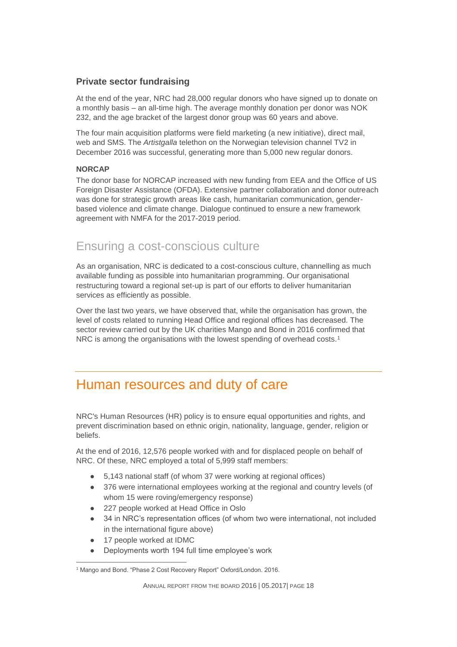#### **Private sector fundraising**

At the end of the year, NRC had 28,000 regular donors who have signed up to donate on a monthly basis – an all-time high. The average monthly donation per donor was NOK 232, and the age bracket of the largest donor group was 60 years and above.

The four main acquisition platforms were field marketing (a new initiative), direct mail, web and SMS. The *Artistgalla* telethon on the Norwegian television channel TV2 in December 2016 was successful, generating more than 5,000 new regular donors.

#### **NORCAP**

The donor base for NORCAP increased with new funding from EEA and the Office of US Foreign Disaster Assistance (OFDA). Extensive partner collaboration and donor outreach was done for strategic growth areas like cash, humanitarian communication, genderbased violence and climate change. Dialogue continued to ensure a new framework agreement with NMFA for the 2017-2019 period.

### Ensuring a cost-conscious culture

As an organisation, NRC is dedicated to a cost-conscious culture, channelling as much available funding as possible into humanitarian programming. Our organisational restructuring toward a regional set-up is part of our efforts to deliver humanitarian services as efficiently as possible.

Over the last two years, we have observed that, while the organisation has grown, the level of costs related to running Head Office and regional offices has decreased. The sector review carried out by the UK charities Mango and Bond in 2016 confirmed that NRC is among the organisations with the lowest spending of overhead costs.<sup>1</sup>

# Human resources and duty of care

NRC's Human Resources (HR) policy is to ensure equal opportunities and rights, and prevent discrimination based on ethnic origin, nationality, language, gender, religion or beliefs.

At the end of 2016, 12,576 people worked with and for displaced people on behalf of NRC. Of these, NRC employed a total of 5,999 staff members:

- 5.143 national staff (of whom 37 were working at regional offices)
- 376 were international employees working at the regional and country levels (of whom 15 were roving/emergency response)
- 227 people worked at Head Office in Oslo
- 34 in NRC's representation offices (of whom two were international, not included in the international figure above)
- 17 people worked at IDMC
- Deployments worth 194 full time employee's work

 $\overline{a}$ <sup>1</sup> Mango and Bond. "Phase 2 Cost Recovery Report" Oxford/London. 2016.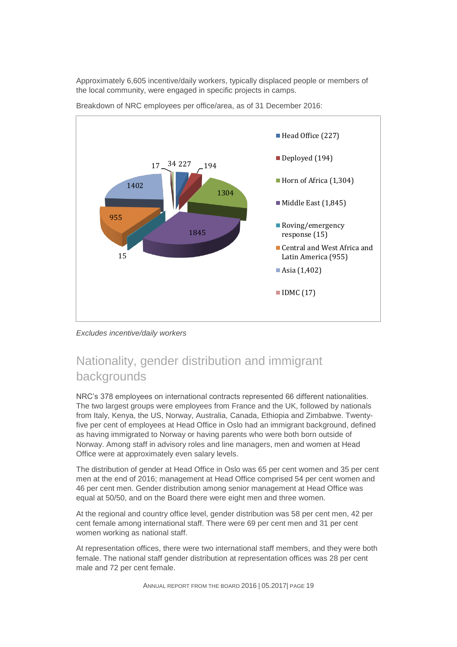Approximately 6,605 incentive/daily workers, typically displaced people or members of the local community, were engaged in specific projects in camps.



Breakdown of NRC employees per office/area, as of 31 December 2016:

*Excludes incentive/daily workers*

# Nationality, gender distribution and immigrant backgrounds

NRC's 378 employees on international contracts represented 66 different nationalities. The two largest groups were employees from France and the UK, followed by nationals from Italy, Kenya, the US, Norway, Australia, Canada, Ethiopia and Zimbabwe. Twentyfive per cent of employees at Head Office in Oslo had an immigrant background, defined as having immigrated to Norway or having parents who were both born outside of Norway. Among staff in advisory roles and line managers, men and women at Head Office were at approximately even salary levels.

The distribution of gender at Head Office in Oslo was 65 per cent women and 35 per cent men at the end of 2016; management at Head Office comprised 54 per cent women and 46 per cent men. Gender distribution among senior management at Head Office was equal at 50/50, and on the Board there were eight men and three women.

At the regional and country office level, gender distribution was 58 per cent men, 42 per cent female among international staff. There were 69 per cent men and 31 per cent women working as national staff.

At representation offices, there were two international staff members, and they were both female. The national staff gender distribution at representation offices was 28 per cent male and 72 per cent female.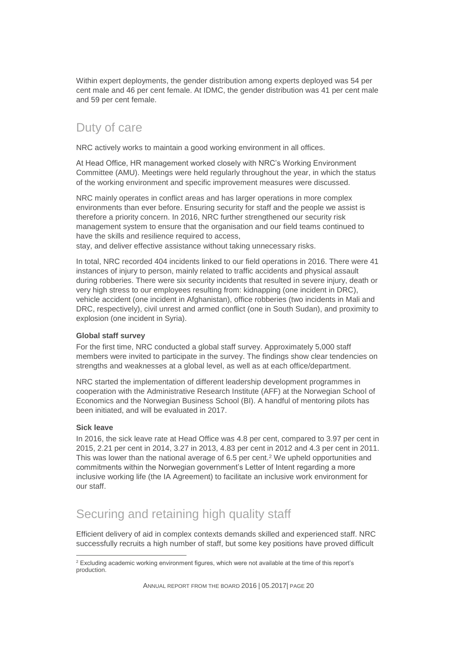Within expert deployments, the gender distribution among experts deployed was 54 per cent male and 46 per cent female. At IDMC, the gender distribution was 41 per cent male and 59 per cent female.

### Duty of care

NRC actively works to maintain a good working environment in all offices.

At Head Office, HR management worked closely with NRC's Working Environment Committee (AMU). Meetings were held regularly throughout the year, in which the status of the working environment and specific improvement measures were discussed.

NRC mainly operates in conflict areas and has larger operations in more complex environments than ever before. Ensuring security for staff and the people we assist is therefore a priority concern. In 2016, NRC further strengthened our security risk management system to ensure that the organisation and our field teams continued to have the skills and resilience required to access,

stay, and deliver effective assistance without taking unnecessary risks.

In total, NRC recorded 404 incidents linked to our field operations in 2016. There were 41 instances of injury to person, mainly related to traffic accidents and physical assault during robberies. There were six security incidents that resulted in severe injury, death or very high stress to our employees resulting from: kidnapping (one incident in DRC), vehicle accident (one incident in Afghanistan), office robberies (two incidents in Mali and DRC, respectively), civil unrest and armed conflict (one in South Sudan), and proximity to explosion (one incident in Syria).

#### **Global staff survey**

For the first time, NRC conducted a global staff survey. Approximately 5,000 staff members were invited to participate in the survey. The findings show clear tendencies on strengths and weaknesses at a global level, as well as at each office/department.

NRC started the implementation of different leadership development programmes in cooperation with the Administrative Research Institute (AFF) at the Norwegian School of Economics and the Norwegian Business School (BI). A handful of mentoring pilots has been initiated, and will be evaluated in 2017.

#### **Sick leave**

In 2016, the sick leave rate at Head Office was 4.8 per cent, compared to 3.97 per cent in 2015, 2.21 per cent in 2014, 3.27 in 2013, 4.83 per cent in 2012 and 4.3 per cent in 2011. This was lower than the national average of 6.5 per cent.<sup>2</sup> We upheld opportunities and commitments within the Norwegian government's Letter of Intent regarding a more inclusive working life (the IA Agreement) to facilitate an inclusive work environment for our staff.

# Securing and retaining high quality staff

Efficient delivery of aid in complex contexts demands skilled and experienced staff. NRC successfully recruits a high number of staff, but some key positions have proved difficult

 $\overline{a}$  $2$  Excluding academic working environment figures, which were not available at the time of this report's production.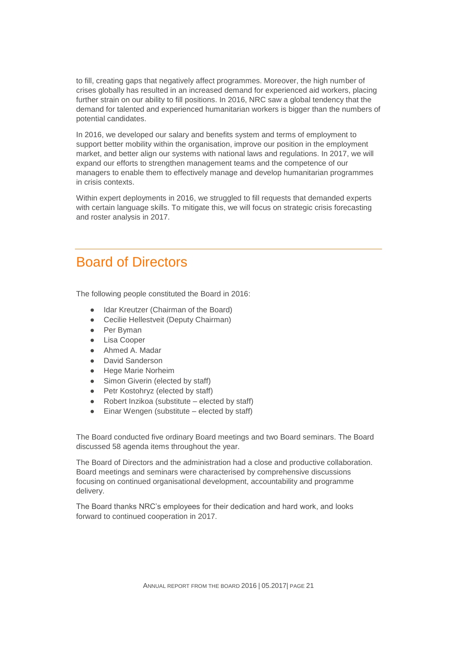to fill, creating gaps that negatively affect programmes. Moreover, the high number of crises globally has resulted in an increased demand for experienced aid workers, placing further strain on our ability to fill positions. In 2016, NRC saw a global tendency that the demand for talented and experienced humanitarian workers is bigger than the numbers of potential candidates.

In 2016, we developed our salary and benefits system and terms of employment to support better mobility within the organisation, improve our position in the employment market, and better align our systems with national laws and regulations. In 2017, we will expand our efforts to strengthen management teams and the competence of our managers to enable them to effectively manage and develop humanitarian programmes in crisis contexts.

Within expert deployments in 2016, we struggled to fill requests that demanded experts with certain language skills. To mitigate this, we will focus on strategic crisis forecasting and roster analysis in 2017.

# Board of Directors

The following people constituted the Board in 2016:

- Idar Kreutzer (Chairman of the Board)
- Cecilie Hellestveit (Deputy Chairman)
- Per Byman
- Lisa Cooper
- Ahmed A. Madar
- David Sanderson
- Hege Marie Norheim
- Simon Giverin (elected by staff)
- Petr Kostohryz (elected by staff)
- Robert Inzikoa (substitute elected by staff)
- Einar Wengen (substitute  $-$  elected by staff)

The Board conducted five ordinary Board meetings and two Board seminars. The Board discussed 58 agenda items throughout the year.

The Board of Directors and the administration had a close and productive collaboration. Board meetings and seminars were characterised by comprehensive discussions focusing on continued organisational development, accountability and programme delivery.

The Board thanks NRC's employees for their dedication and hard work, and looks forward to continued cooperation in 2017.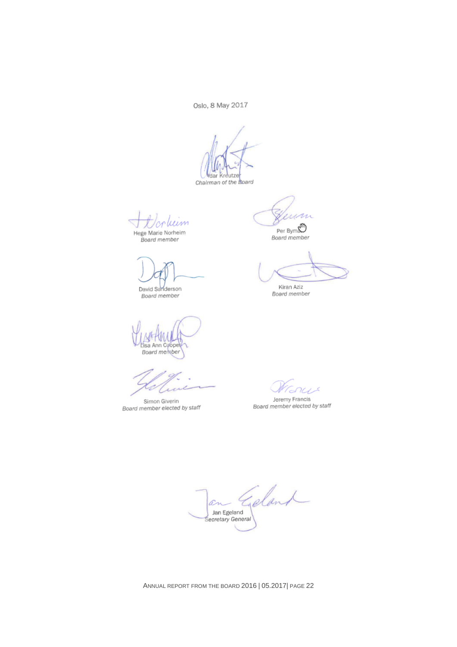Oslo, 8 May 2017

Vdar Kreutze

Chairman of the Board

luim Hege Marie Norheim

Board member

David Sanderson Board member

MEPWWH<br>Lisa Ann Cooper<br>Board member

Simon Giverin Board member elected by staff

man

Per Bym<br>Board member

Kiran Aziz Board member

 $243$ 

Jeremy Francis<br>Board member elected by staff

Goland an Jan Egeland Secretary General